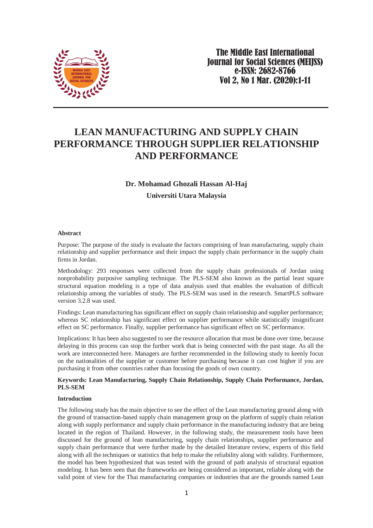

# **LEAN MANUFACTURING AND SUPPLY CHAIN PERFORMANCE THROUGH SUPPLIER RELATIONSHIP AND PERFORMANCE**

# **Dr. Mohamad Ghozali Hassan Al-Haj [Universiti Utara Malaysia](https://scholar.google.com.my/citations?view_op=view_org&hl=en&org=7992677140167383287)**

#### **Abstract**

Purpose: The purpose of the study is evaluate the factors comprising of lean manufacturing, supply chain relationship and supplier performance and their impact the supply chain performance in the supply chain firms in Jordan.

Methodology: 293 responses were collected from the supply chain professionals of Jordan using nonprobability purposive sampling technique. The PLS-SEM also known as the partial least square structural equation modeling is a type of data analysis used that enables the evaluation of difficult relationship among the variables of study. The PLS-SEM was used in the research. SmartPLS software version 3.2.8 was used.

Findings: Lean manufacturing has significant effect on supply chain relationship and supplier performance; whereas SC relationship has significant effect on supplier performance while statistically insignificant effect on SC performance. Finally, supplier performance has significant effect on SC performance.

Implications: It has been also suggested to see the resource allocation that must be done over time, because delaying in this process can stop the further work that is being connected with the past stage. As all the work are interconnected here. Managers are further recommended in the following study to keenly focus on the nationalities of the supplier or customer before purchasing because it can cost higher if you are purchasing it from other countries rather than focusing the goods of own country.

### **Keywords: Lean Manufacturing, Supply Chain Relationship, Supply Chain Performance, Jordan, PLS-SEM**

#### **Introduction**

The following study has the main objective to see the effect of the Lean manufacturing ground along with the ground of transaction-based supply chain management group on the platform of supply chain relation along with supply performance and supply chain performance in the manufacturing industry that are being located in the region of Thailand. However, in the following study, the measurement tools have been discussed for the ground of lean manufacturing, supply chain relationships, supplier performance and supply chain performance that were further made by the detailed literature review, experts of this field along with all the techniques or statistics that help to make the reliability along with validity. Furthermore, the model has been hypothesized that was tested with the ground of path analysis of structural equation modeling. It has been seen that the frameworks are being considered as important, reliable along with the valid point of view for the Thai manufacturing companies or industries that are the grounds named Lean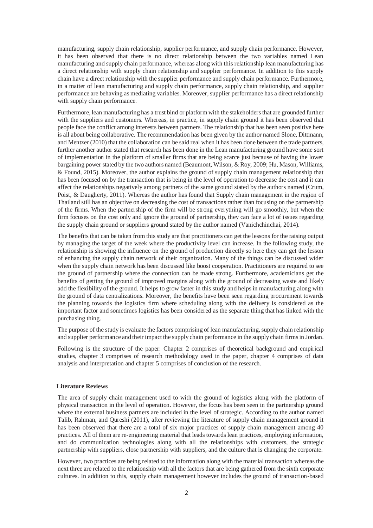manufacturing, supply chain relationship, supplier performance, and supply chain performance. However, it has been observed that there is no direct relationship between the two variables named Lean manufacturing and supply chain performance, whereas along with this relationship lean manufacturing has a direct relationship with supply chain relationship and supplier performance. In addition to this supply chain have a direct relationship with the supplier performance and supply chain performance. Furthermore, in a matter of lean manufacturing and supply chain performance, supply chain relationship, and supplier performance are behaving as mediating variables. Moreover, supplier performance has a direct relationship with supply chain performance.

Furthermore, lean manufacturing has a trust bind or platform with the stakeholders that are grounded further with the suppliers and customers. Whereas, in practice, in supply chain ground it has been observed that people face the conflict among interests between partners. The relationship that has been seen positive here is all about being collaborative. The recommendation has been given by the author named [Slone, Dittmann,](#page-9-0)  [and Mentzer \(2010\)](#page-9-0) that the collaboration can be said real when it has been done between the trade partners, further another author stated that research has been done in the Lean manufacturing ground have some sort of implementation in the platform of smaller firms that are being scarce just because of having the lower bargaining power stated by the two authors named [\(Beaumont, Wilson, & Roy, 2009;](#page-8-0) [Hu, Mason, Williams,](#page-9-1)  [& Found, 2015\)](#page-9-1). Moreover, the author explains the ground of supply chain management relationship that has been focused on by the transaction that is being in the level of operation to decrease the cost and it can affect the relationships negatively among partners of the same ground stated by the authors named [\(Crum,](#page-8-1)  [Poist, & Daugherty, 2011\)](#page-8-1). Whereas the author has found that Supply chain management in the region of Thailand still has an objective on decreasing the cost of transactions rather than focusing on the partnership of the firms. When the partnership of the firm will be strong everything will go smoothly, but when the firm focuses on the cost only and ignore the ground of partnership, they can face a lot of issues regarding the supply chain ground or suppliers ground stated by the author named [\(Vanichchinchai, 2014\)](#page-9-2).

The benefits that can be taken from this study are that practitioners can get the lessons for the raising output by managing the target of the week where the productivity level can increase. In the following study, the relationship is showing the influence on the ground of production directly so here they can get the lesson of enhancing the supply chain network of their organization. Many of the things can be discussed wider when the supply chain network has been discussed like boost cooperation. Practitioners are required to see the ground of partnership where the connection can be made strong. Furthermore, academicians get the benefits of getting the ground of improved margins along with the ground of decreasing waste and likely add the flexibility of the ground. It helps to grow faster in this study and helps in manufacturing along with the ground of data centralizations. Moreover, the benefits have been seen regarding procurement towards the planning towards the logistics firm where scheduling along with the delivery is considered as the important factor and sometimes logistics has been considered as the separate thing that has linked with the purchasing thing.

The purpose of the study is evaluate the factors comprising of lean manufacturing, supply chain relationship and supplier performance and their impact the supply chain performance in the supply chain firms in Jordan.

Following is the structure of the paper: Chapter 2 comprises of theoretical background and empirical studies, chapter 3 comprises of research methodology used in the paper, chapter 4 comprises of data analysis and interpretation and chapter 5 comprises of conclusion of the research.

#### **Literature Reviews**

The area of supply chain management used to with the ground of logistics along with the platform of physical transaction in the level of operation. However, the focus has been seen in the partnership ground where the external business partners are included in the level of strategic. According to the author named [Talib, Rahman, and Qureshi \(2011\)](#page-9-3), after reviewing the literature of supply chain management ground it has been observed that there are a total of six major practices of supply chain management among 40 practices. All of them are re-engineering material that leads towards lean practices, employing information, and do communication technologies along with all the relationships with customers, the strategic partnership with suppliers, close partnership with suppliers, and the culture that is changing the corporate.

However, two practices are being related to the information along with the material transaction whereas the next three are related to the relationship with all the factors that are being gathered from the sixth corporate cultures. In addition to this, supply chain management however includes the ground of transaction-based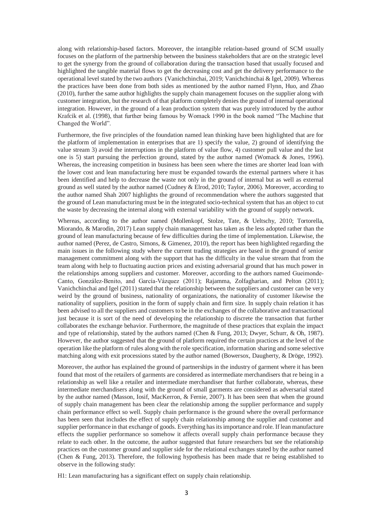along with relationship-based factors. Moreover, the intangible relation-based ground of SCM usually focuses on the platform of the partnership between the business stakeholders that are on the strategic level to get the synergy from the ground of collaboration during the transaction based that usually focused and highlighted the tangible material flows to get the decreasing cost and get the delivery performance to the operational level stated by the two authors [\(Vanichchinchai, 2019;](#page-10-0) [Vanichchinchai & Igel, 2009\)](#page-10-1). Whereas the practices have been done from both sides as mentioned by the author named [Flynn, Huo, and Zhao](#page-9-4)  [\(2010\)](#page-9-4), further the same author highlights the supply chain management focuses on the supplier along with customer integration, but the research of that platform completely denies the ground of internal operational integration. However, in the ground of a lean production system that was purely introduced by the author [Krafcik et al. \(1998\)](#page-9-5), that further being famous by Womack 1990 in the book named "The Machine that Changed the World".

Furthermore, the five principles of the foundation named lean thinking have been highlighted that are for the platform of implementation in enterprises that are 1) specify the value, 2) ground of identifying the value stream 3) avoid the interruptions in the platform of value flow, 4) customer pull value and the last one is 5) start pursuing the perfection ground, stated by the author named [\(Womack & Jones, 1996\)](#page-10-2). Whereas, the increasing competition in business has been seen where the times are shorter lead loan with the lower cost and lean manufacturing here must be expanded towards the external partners where it has been identified and help to decrease the waste not only in the ground of internal but as well as external ground as well stated by the author named [\(Cudney & Elrod, 2010;](#page-8-2) [Taylor, 2006\)](#page-9-6). Moreover, according to the author named Shah 2007 highlights the ground of recommendation where the authors suggested that the ground of Lean manufacturing must be in the integrated socio-technical system that has an object to cut the waste by decreasing the internal along with external variability with the ground of supply network.

Whereas, according to the author named [\(Mollenkopf, Stolze, Tate, & Ueltschy, 2010;](#page-9-7) [Tortorella,](#page-9-8)  [Miorando, & Marodin, 2017\)](#page-9-8) Lean supply chain management has taken as the less adopted rather than the ground of lean manufacturing because of few difficulties during the time of implementation. Likewise, the author named [\(Perez, de Castro, Simons, & Gimenez, 2010\)](#page-9-9), the report has been highlighted regarding the main issues in the following study where the current trading strategies are based in the ground of senior management commitment along with the support that has the difficulty in the value stream that from the team along with help to fluctuating auction prices and existing adversarial ground that has much power in the relationships among suppliers and customer. Moreover, according to the authors named Gueimonde-[Canto, González‐Benito, and García‐Vázquez \(2011\)](#page-9-10); [Rajamma, Zolfagharian, and Pelton \(2011\)](#page-9-11); [Vanichchinchai and Igel \(2011\)](#page-10-3) stated that the relationship between the suppliers and customer can be very weird by the ground of business, nationality of organizations, the nationality of customer likewise the nationality of suppliers, position in the form of supply chain and firm size. In supply chain relation it has been advised to all the suppliers and customers to be in the exchanges of the collaborative and transactional just because it is sort of the need of developing the relationship to discrete the transaction that further collaborates the exchange behavior. Furthermore, the magnitude of these practices that explain the impact and type of relationship, stated by the authors named [\(Chen & Fung, 2013;](#page-8-3) [Dwyer, Schurr, & Oh, 1987\)](#page-8-4). However, the author suggested that the ground of platform required the certain practices at the level of the operation like the platform of rules along with the role specification, information sharing and some selective matching along with exit processions stated by the author named [\(Bowersox, Daugherty, & Dröge, 1992\)](#page-8-5).

Moreover, the author has explained the ground of partnerships in the industry of garment where it has been found that most of the retailers of garments are considered as intermediate merchandisers that re being in a relationship as well like a retailer and intermediate merchandiser that further collaborate, whereas, these intermediate merchandisers along with the ground of small garments are considered as adversarial stated by the author named [\(Masson, Iosif, MacKerron, & Fernie, 2007\)](#page-9-12). It has been seen that when the ground of supply chain management has been clear the relationship among the supplier performance and supply chain performance effect so well. Supply chain performance is the ground where the overall performance has been seen that includes the effect of supply chain relationship among the supplier and customer and supplier performance in that exchange of goods. Everything has its importance and role. If lean manufacture effects the supplier performance so somehow it affects overall supply chain performance because they relate to each other. In the outcome, the author suggested that future researchers but see the relationship practices on the customer ground and supplier side for the relational exchanges stated by the author named [\(Chen & Fung, 2013\)](#page-8-3). Therefore, the following hypothesis has been made that re being established to observe in the following study:

H1: Lean manufacturing has a significant effect on supply chain relationship.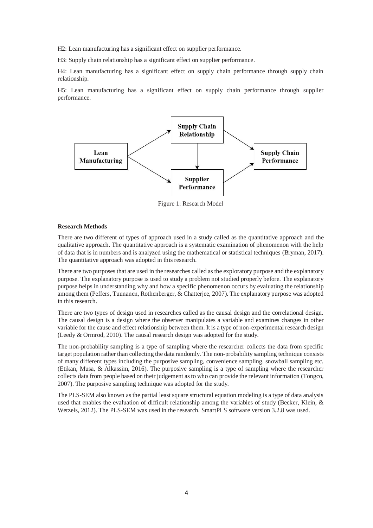H2: Lean manufacturing has a significant effect on supplier performance.

H3: Supply chain relationship has a significant effect on supplier performance.

H4: Lean manufacturing has a significant effect on supply chain performance through supply chain relationship.

H5: Lean manufacturing has a significant effect on supply chain performance through supplier performance.



Figure 1: Research Model

#### **Research Methods**

There are two different of types of approach used in a study called as the quantitative approach and the qualitative approach. The quantitative approach is a systematic examination of phenomenon with the help of data that is in numbers and is analyzed using the mathematical or statistical techniques [\(Bryman, 2017\)](#page-8-6). The quantitative approach was adopted in this research.

There are two purposes that are used in the researches called as the exploratory purpose and the explanatory purpose. The explanatory purpose is used to study a problem not studied properly before. The explanatory purpose helps in understanding why and how a specific phenomenon occurs by evaluating the relationship among them [\(Peffers, Tuunanen, Rothenberger, & Chatterjee, 2007\)](#page-9-13). The explanatory purpose was adopted in this research.

There are two types of design used in researches called as the causal design and the correlational design. The causal design is a design where the observer manipulates a variable and examines changes in other variable for the cause and effect relationship between them. It is a type of non-experimental research design [\(Leedy & Ormrod, 2010\)](#page-9-14). The causal research design was adopted for the study.

The non-probability sampling is a type of sampling where the researcher collects the data from specific target population rather than collecting the data randomly. The non-probability sampling technique consists of many different types including the purposive sampling, convenience sampling, snowball sampling etc. [\(Etikan, Musa, & Alkassim, 2016\)](#page-9-15). The purposive sampling is a type of sampling where the researcher collects data from people based on their judgement as to who can provide the relevant information [\(Tongco,](#page-9-16)  [2007\)](#page-9-16). The purposive sampling technique was adopted for the study.

The PLS-SEM also known as the partial least square structural equation modeling is a type of data analysis used that enables the evaluation of difficult relationship among the variables of study [\(Becker, Klein, &](#page-8-7)  [Wetzels, 2012\)](#page-8-7). The PLS-SEM was used in the research. SmartPLS software version 3.2.8 was used.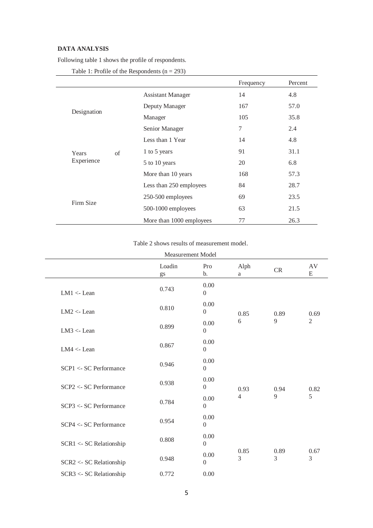# **DATA ANALYSIS**

Following table 1 shows the profile of respondents.

|             |    |                          | Frequency      | Percent |
|-------------|----|--------------------------|----------------|---------|
|             |    | <b>Assistant Manager</b> | 14             | 4.8     |
|             |    | Deputy Manager           | 167            | 57.0    |
| Designation |    | Manager                  | 105            | 35.8    |
|             |    | Senior Manager           | $\overline{7}$ | 2.4     |
|             |    | Less than 1 Year         | 14             | 4.8     |
| Years       | of | 1 to 5 years             | 91             | 31.1    |
| Experience  |    | 5 to 10 years            | 20             | 6.8     |
|             |    | More than 10 years       | 168            | 57.3    |
|             |    | Less than 250 employees  | 84             | 28.7    |
|             |    | 250-500 employees        | 69             | 23.5    |
| Firm Size   |    | 500-1000 employees       | 63             | 21.5    |
|             |    | More than 1000 employees | 77             | 26.3    |

Table 1: Profile of the Respondents  $(n = 293)$ 

## Table 2 shows results of measurement model.

|                         | <b>Measurement Model</b> |                          |                |                   |                |  |
|-------------------------|--------------------------|--------------------------|----------------|-------------------|----------------|--|
|                         | Loadin<br>gs             | Pro<br>b.                | Alph<br>a      | <b>CR</b>         | AV<br>E        |  |
| $LM1 <$ - Lean          | 0.743                    | 0.00<br>$\overline{0}$   |                |                   |                |  |
| $LM2 <$ - Lean          | 0.810                    | 0.00<br>$\mathbf{0}$     | 0.85           | 0.89              | 0.69           |  |
| $LM3 <$ - Lean          | 0.899                    | 0.00<br>$\overline{0}$   | 6              | $\mathbf Q$       | $\overline{2}$ |  |
| $LM4 <$ - Lean          | 0.867                    | 0.00<br>$\boldsymbol{0}$ |                |                   |                |  |
| SCP1 <- SC Performance  | 0.946                    | 0.00<br>$\boldsymbol{0}$ |                |                   |                |  |
| SCP2 <- SC Performance  | 0.938                    | 0.00<br>$\boldsymbol{0}$ | 0.93           | 0.94              | 0.82           |  |
| SCP3 <- SC Performance  | 0.784                    | 0.00<br>$\overline{0}$   | $\overline{4}$ | 9                 | 5              |  |
| SCP4 <- SC Performance  | 0.954                    | 0.00<br>$\mathbf{0}$     |                |                   |                |  |
| SCR1 <- SC Relationship | 0.808                    | 0.00<br>$\overline{0}$   |                |                   | 0.67           |  |
| SCR2 <- SC Relationship | 0.948                    | 0.00<br>$\boldsymbol{0}$ | $\overline{3}$ | 0.85<br>0.89<br>3 |                |  |
| SCR3 <- SC Relationship | 0.772                    | 0.00                     |                |                   |                |  |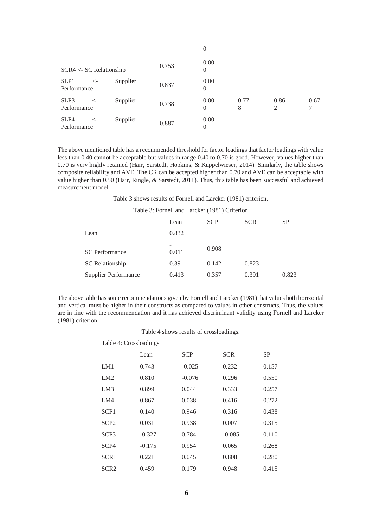|                                                 |       | $\theta$               |           |           |      |
|-------------------------------------------------|-------|------------------------|-----------|-----------|------|
| $SCR4 < SC$ Relationship                        | 0.753 | 0.00<br>$\theta$       |           |           |      |
| SLP1<br>Supplier<br>$\leftarrow$<br>Performance | 0.837 | 0.00<br>$\overline{0}$ |           |           |      |
| SLP3<br>Supplier<br>$\leftarrow$<br>Performance | 0.738 | 0.00<br>$\Omega$       | 0.77<br>8 | 0.86<br>2 | 0.67 |
| SLP4<br>Supplier<br>$\leftarrow$<br>Performance | 0.887 | 0.00<br>$\Omega$       |           |           |      |

The above mentioned table has a recommended threshold for factor loadings that factor loadings with value less than 0.40 cannot be acceptable but values in range 0.40 to 0.70 is good. However, values higher than 0.70 is very highly retained [\(Hair, Sarstedt, Hopkins, & Kuppelwieser, 2014\)](#page-9-17). Similarly, the table shows composite reliability and AVE. The CR can be accepted higher than 0.70 and AVE can be acceptable with value higher than 0.50 [\(Hair, Ringle, & Sarstedt, 2011\)](#page-9-18). Thus, this table has been successful and achieved measurement model.

Table 3 shows results of [Fornell and Larcker \(1981\)](#page-9-19) criterion.

| Table 3: Fornell and Larcker (1981) Criterion |            |       |       |       |  |  |  |
|-----------------------------------------------|------------|-------|-------|-------|--|--|--|
| <b>SCP</b><br><b>SCR</b><br><b>SP</b><br>Lean |            |       |       |       |  |  |  |
| Lean                                          | 0.832      |       |       |       |  |  |  |
| <b>SC</b> Performance                         | -<br>0.011 | 0.908 |       |       |  |  |  |
| SC Relationship                               | 0.391      | 0.142 | 0.823 |       |  |  |  |
| <b>Supplier Performance</b>                   | 0.413      | 0.357 | 0.391 | 0.823 |  |  |  |

The above table has some recommendations given b[y Fornell and Larcker \(1981\)](#page-9-19) that values both horizontal and vertical must be higher in their constructs as compared to values in other constructs. Thus, the values are in line with the recommendation and it has achieved discriminant validity using [Fornell and Larcker](#page-9-19)  [\(1981\)](#page-9-19) criterion.

| Table 4 shows results of crossloadings. |  |  |
|-----------------------------------------|--|--|
|-----------------------------------------|--|--|

| Table 4: Crossloadings |          |            |            |       |  |
|------------------------|----------|------------|------------|-------|--|
|                        | Lean     | <b>SCP</b> | <b>SCR</b> | SP    |  |
| LM1                    | 0.743    | $-0.025$   | 0.232      | 0.157 |  |
| LM2                    | 0.810    | $-0.076$   | 0.296      | 0.550 |  |
| LM3                    | 0.899    | 0.044      | 0.333      | 0.257 |  |
| LM4                    | 0.867    | 0.038      | 0.416      | 0.272 |  |
| SCP <sub>1</sub>       | 0.140    | 0.946      | 0.316      | 0.438 |  |
| SCP <sub>2</sub>       | 0.031    | 0.938      | 0.007      | 0.315 |  |
| SCP <sub>3</sub>       | $-0.327$ | 0.784      | $-0.085$   | 0.110 |  |
| SCP4                   | $-0.175$ | 0.954      | 0.065      | 0.268 |  |
| SCR <sub>1</sub>       | 0.221    | 0.045      | 0.808      | 0.280 |  |
| SCR <sub>2</sub>       | 0.459    | 0.179      | 0.948      | 0.415 |  |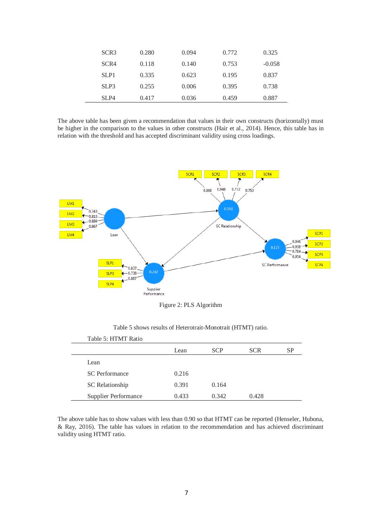| SCR <sub>3</sub> | 0.280 | 0.094 | 0.772 | 0.325    |
|------------------|-------|-------|-------|----------|
| SCR4             | 0.118 | 0.140 | 0.753 | $-0.058$ |
| SLP1             | 0.335 | 0.623 | 0.195 | 0.837    |
| SLP3             | 0.255 | 0.006 | 0.395 | 0.738    |
| SLP4             | 0.417 | 0.036 | 0.459 | 0.887    |

The above table has been given a recommendation that values in their own constructs (horizontally) must be higher in the comparison to the values in other constructs [\(Hair et al., 2014\)](#page-9-17). Hence, this table has in relation with the threshold and has accepted discriminant validity using cross loadings.



Figure 2: PLS Algorithm

| Table 5: HTMT Ratio         |       |            |            |    |
|-----------------------------|-------|------------|------------|----|
|                             | Lean  | <b>SCP</b> | <b>SCR</b> | SP |
| Lean                        |       |            |            |    |
| <b>SC</b> Performance       | 0.216 |            |            |    |
| SC Relationship             | 0.391 | 0.164      |            |    |
| <b>Supplier Performance</b> | 0.433 | 0.342      | 0.428      |    |

Table 5 shows results of Heterotrait-Monotrait (HTMT) ratio.

The above table has to show values with less than 0.90 so that HTMT can be reported [\(Henseler, Hubona,](#page-9-20)  [& Ray, 2016\)](#page-9-20). The table has values in relation to the recommendation and has achieved discriminant validity using HTMT ratio.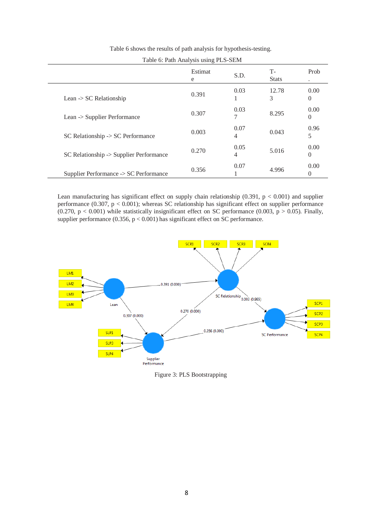| $1000$ $\sigma$ , $1001$ $1000$ $1000$ $1000$ $1000$ |              |           |                      |                              |
|------------------------------------------------------|--------------|-----------|----------------------|------------------------------|
|                                                      | Estimat<br>e | S.D.      | $T-$<br><b>Stats</b> | Prob<br>$\ddot{\phantom{0}}$ |
| Lean $\sim$ SC Relationship                          | 0.391        | 0.03      | 12.78<br>3           | 0.00<br>$\theta$             |
| Lean -> Supplier Performance                         | 0.307        | 0.03<br>7 | 8.295                | 0.00<br>$\theta$             |
| $SC$ Relationship $\rightarrow$ SC Performance       | 0.003        | 0.07<br>4 | 0.043                | 0.96<br>5                    |
| SC Relationship -> Supplier Performance              | 0.270        | 0.05<br>4 | 5.016                | 0.00<br>$\theta$             |
| Supplier Performance -> SC Performance               | 0.356        | 0.07      | 4.996                | 0.00<br>$\Omega$             |

Table 6 shows the results of path analysis for hypothesis-testing.

Table 6: Path Analysis using PLS-SEM

Lean manufacturing has significant effect on supply chain relationship  $(0.391, p < 0.001)$  and supplier performance  $(0.307, p < 0.001)$ ; whereas SC relationship has significant effect on supplier performance (0.270,  $p < 0.001$ ) while statistically insignificant effect on SC performance (0.003,  $p > 0.05$ ). Finally, supplier performance  $(0.356, p < 0.001)$  has significant effect on SC performance.

 $\overline{a}$ 



Figure 3: PLS Bootstrapping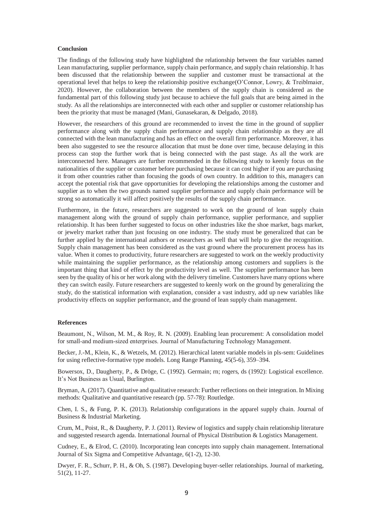#### **Conclusion**

The findings of the following study have highlighted the relationship between the four variables named Lean manufacturing, supplier performance, supply chain performance, and supply chain relationship. It has been discussed that the relationship between the supplier and customer must be transactional at the operational level that helps to keep the relationship positive exchange[\(O'Connor, Lowry, & Treiblmaier,](#page-9-21)  [2020\)](#page-9-21). However, the collaboration between the members of the supply chain is considered as the fundamental part of this following study just because to achieve the full goals that are being aimed in the study. As all the relationships are interconnected with each other and supplier or customer relationship has been the priority that must be managed [\(Mani, Gunasekaran, & Delgado, 2018\)](#page-9-22).

However, the researchers of this ground are recommended to invest the time in the ground of supplier performance along with the supply chain performance and supply chain relationship as they are all connected with the lean manufacturing and has an effect on the overall firm performance. Moreover, it has been also suggested to see the resource allocation that must be done over time, because delaying in this process can stop the further work that is being connected with the past stage. As all the work are interconnected here. Managers are further recommended in the following study to keenly focus on the nationalities of the supplier or customer before purchasing because it can cost higher if you are purchasing it from other countries rather than focusing the goods of own country. In addition to this, managers can accept the potential risk that gave opportunities for developing the relationships among the customer and supplier as to when the two grounds named supplier performance and supply chain performance will be strong so automatically it will affect positively the results of the supply chain performance.

Furthermore, in the future, researchers are suggested to work on the ground of lean supply chain management along with the ground of supply chain performance, supplier performance, and supplier relationship. It has been further suggested to focus on other industries like the shoe market, bags market, or jewelry market rather than just focusing on one industry. The study must be generalized that can be further applied by the international authors or researchers as well that will help to give the recognition. Supply chain management has been considered as the vast ground where the procurement process has its value. When it comes to productivity, future researchers are suggested to work on the weekly productivity while maintaining the supplier performance, as the relationship among customers and suppliers is the important thing that kind of effect by the productivity level as well. The supplier performance has been seen by the quality of his or her work along with the delivery timeline. Customers have many options where they can switch easily. Future researchers are suggested to keenly work on the ground by generalizing the study, do the statistical information with explanation, consider a vast industry, add up new variables like productivity effects on supplier performance, and the ground of lean supply chain management.

#### **References**

<span id="page-8-0"></span>Beaumont, N., Wilson, M. M., & Roy, R. N. (2009). Enabling lean procurement: A consolidation model for small‐and medium‐sized enterprises. Journal of Manufacturing Technology Management.

<span id="page-8-7"></span>Becker, J.-M., Klein, K., & Wetzels, M. (2012). Hierarchical latent variable models in pls-sem: Guidelines for using reflective-formative type models. Long Range Planning, 45(5-6), 359–394.

<span id="page-8-5"></span>Bowersox, D., Daugherty, P., & Dröge, C. (1992). Germain; rn; rogers, ds (1992): Logistical excellence. It's Not Business as Usual, Burlington.

<span id="page-8-6"></span>Bryman, A. (2017). Quantitative and qualitative research: Further reflections on their integration. In Mixing methods: Qualitative and quantitative research (pp. 57-78): Routledge.

<span id="page-8-3"></span>Chen, I. S., & Fung, P. K. (2013). Relationship configurations in the apparel supply chain. Journal of Business & Industrial Marketing.

<span id="page-8-1"></span>Crum, M., Poist, R., & Daugherty, P. J. (2011). Review of logistics and supply chain relationship literature and suggested research agenda. International Journal of Physical Distribution & Logistics Management.

<span id="page-8-2"></span>Cudney, E., & Elrod, C. (2010). Incorporating lean concepts into supply chain management. International Journal of Six Sigma and Competitive Advantage, 6(1-2), 12-30.

<span id="page-8-4"></span>Dwyer, F. R., Schurr, P. H., & Oh, S. (1987). Developing buyer-seller relationships. Journal of marketing, 51(2), 11-27.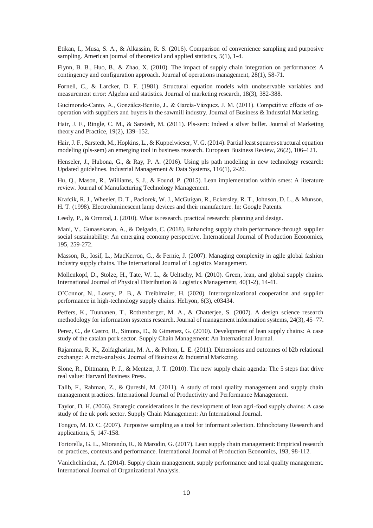<span id="page-9-15"></span>Etikan, I., Musa, S. A., & Alkassim, R. S. (2016). Comparison of convenience sampling and purposive sampling. American journal of theoretical and applied statistics, 5(1), 1-4.

<span id="page-9-4"></span>Flynn, B. B., Huo, B., & Zhao, X. (2010). The impact of supply chain integration on performance: A contingency and configuration approach. Journal of operations management, 28(1), 58-71.

<span id="page-9-19"></span>Fornell, C., & Larcker, D. F. (1981). Structural equation models with unobservable variables and measurement error: Algebra and statistics. Journal of marketing research, 18(3), 382-388.

<span id="page-9-10"></span>Gueimonde-Canto, A., González-Benito, J., & García-Vázquez, J. M. (2011). Competitive effects of cooperation with suppliers and buyers in the sawmill industry. Journal of Business & Industrial Marketing.

<span id="page-9-18"></span>Hair, J. F., Ringle, C. M., & Sarstedt, M. (2011). Pls-sem: Indeed a silver bullet. Journal of Marketing theory and Practice, 19(2), 139–152.

<span id="page-9-17"></span>Hair, J. F., Sarstedt, M., Hopkins, L., & Kuppelwieser, V. G. (2014). Partial least squares structural equation modeling (pls-sem) an emerging tool in business research. European Business Review, 26(2), 106–121.

<span id="page-9-20"></span>Henseler, J., Hubona, G., & Ray, P. A. (2016). Using pls path modeling in new technology research: Updated guidelines. Industrial Management & Data Systems, 116(1), 2-20.

<span id="page-9-1"></span>Hu, Q., Mason, R., Williams, S. J., & Found, P. (2015). Lean implementation within smes: A literature review. Journal of Manufacturing Technology Management.

<span id="page-9-5"></span>Krafcik, R. J., Wheeler, D. T., Paciorek, W. J., McGuigan, R., Eckersley, R. T., Johnson, D. L., & Munson, H. T. (1998). Electroluminescent lamp devices and their manufacture. In: Google Patents.

<span id="page-9-14"></span>Leedy, P., & Ormrod, J. (2010). What is research, practical research: planning and design.

<span id="page-9-22"></span>Mani, V., Gunasekaran, A., & Delgado, C. (2018). Enhancing supply chain performance through supplier social sustainability: An emerging economy perspective. International Journal of Production Economics, 195, 259-272.

<span id="page-9-12"></span>Masson, R., Iosif, L., MacKerron, G., & Fernie, J. (2007). Managing complexity in agile global fashion industry supply chains. The International Journal of Logistics Management.

<span id="page-9-7"></span>Mollenkopf, D., Stolze, H., Tate, W. L., & Ueltschy, M. (2010). Green, lean, and global supply chains. International Journal of Physical Distribution & Logistics Management, 40(1-2), 14-41.

<span id="page-9-21"></span>O'Connor, N., Lowry, P. B., & Treiblmaier, H. (2020). Interorganizational cooperation and supplier performance in high-technology supply chains. Heliyon, 6(3), e03434.

<span id="page-9-13"></span>Peffers, K., Tuunanen, T., Rothenberger, M. A., & Chatterjee, S. (2007). A design science research methodology for information systems research. Journal of management information systems, 24(3), 45–77.

<span id="page-9-9"></span>Perez, C., de Castro, R., Simons, D., & Gimenez, G. (2010). Development of lean supply chains: A case study of the catalan pork sector. Supply Chain Management: An International Journal.

<span id="page-9-11"></span>Rajamma, R. K., Zolfagharian, M. A., & Pelton, L. E. (2011). Dimensions and outcomes of b2b relational exchange: A meta‐analysis. Journal of Business & Industrial Marketing.

<span id="page-9-0"></span>Slone, R., Dittmann, P. J., & Mentzer, J. T. (2010). The new supply chain agenda: The 5 steps that drive real value: Harvard Business Press.

<span id="page-9-3"></span>Talib, F., Rahman, Z., & Qureshi, M. (2011). A study of total quality management and supply chain management practices. International Journal of Productivity and Performance Management.

<span id="page-9-6"></span>Taylor, D. H. (2006). Strategic considerations in the development of lean agri-food supply chains: A case study of the uk pork sector. Supply Chain Management: An International Journal.

<span id="page-9-16"></span>Tongco, M. D. C. (2007). Purposive sampling as a tool for informant selection. Ethnobotany Research and applications, 5, 147-158.

<span id="page-9-8"></span>Tortorella, G. L., Miorando, R., & Marodin, G. (2017). Lean supply chain management: Empirical research on practices, contexts and performance. International Journal of Production Economics, 193, 98-112.

<span id="page-9-2"></span>Vanichchinchai, A. (2014). Supply chain management, supply performance and total quality management. International Journal of Organizational Analysis.